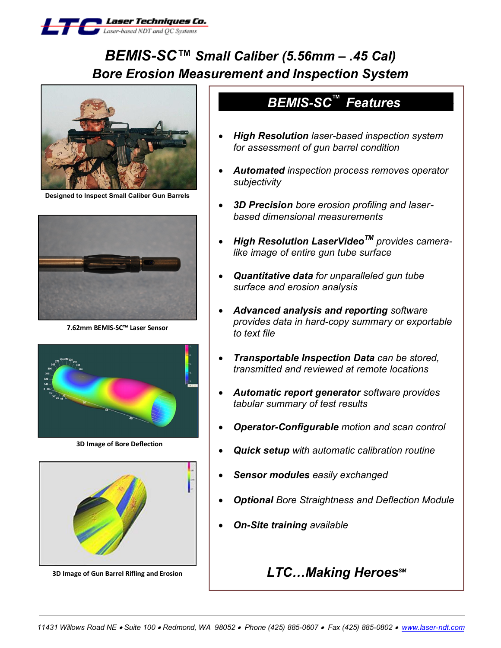

# *BEMIS-SC™ Small Caliber (5.56mm – .45 Cal) Bore Erosion Measurement and Inspection System*



**Designed to Inspect Small Caliber Gun Barrels**



**7.62mm BEMIS-SC™ Laser Sensor**



**3D Image of Bore Deflection**



**3D Image of Gun Barrel Rifling and Erosion**

## **BEMIS-SC<sup>™</sup> Features**

- · *High Resolution laser-based inspection system for assessment of gun barrel condition*
- · *Automated inspection process removes operator subjectivity*
- · *3D Precision bore erosion profiling and laserbased dimensional measurements*
- · *High Resolution LaserVideoTM provides cameralike image of entire gun tube surface*
- · *Quantitative data for unparalleled gun tube surface and erosion analysis*
- · *Advanced analysis and reporting software provides data in hard-copy summary or exportable to text file*
- · *Transportable Inspection Data can be stored, transmitted and reviewed at remote locations*
- · *Automatic report generator software provides tabular summary of test results*
- · *Operator-Configurable motion and scan control*
- · *Quick setup with automatic calibration routine*
- · *Sensor modules easily exchanged*
- · *Optional Bore Straightness and Deflection Module*
- · *On-Site training available*

## $LTC$ *…Making Heroes<sup>sM</sup>*